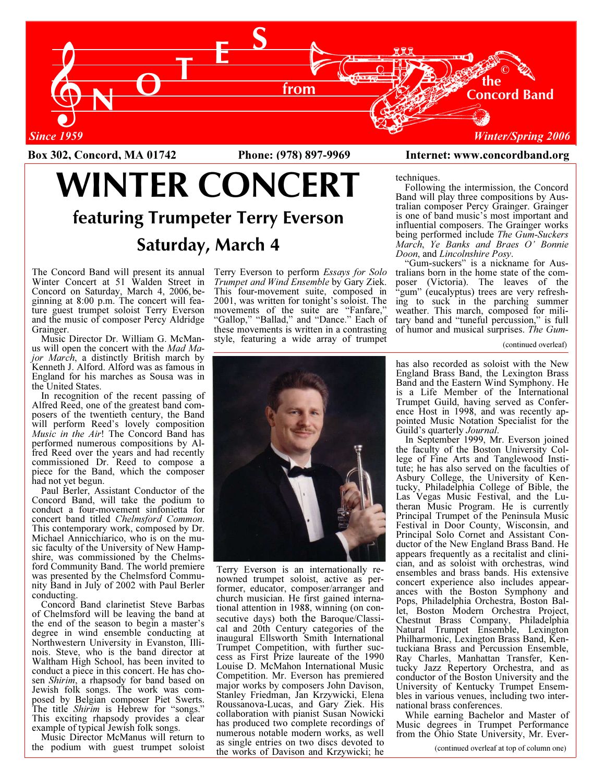

Box 302, Concord, MA 01742 Phone: (978) 897-9969 Internet: www.concordband.org Box 302, Concord, MA 01742 Phone: (978) 897-9969 Internet: www.concordband.org

# WINTER CONCERT featuring Trumpeter Terry Everson Saturday, March 4

The Concord Band will present its annual Winter Concert at 51 Walden Street in Concord on Saturday, March 4, 2006, beginning at 8:00 p.m. The concert will feature guest trumpet soloist Terry Everson and the music of composer Percy Aldridge Grainger.

 Music Director Dr. William G. McManus will open the concert with the Mad Major March, a distinctly British march by Kenneth J. Alford. Alford was as famous in England for his marches as Sousa was in the United States.

 In recognition of the recent passing of Alfred Reed, one of the greatest band composers of the twentieth century, the Band will perform Reed's lovely composition Music in the Air! The Concord Band has performed numerous compositions by Alfred Reed over the years and had recently commissioned Dr. Reed to compose a piece for the Band, which the composer had not yet begun.

 Paul Berler, Assistant Conductor of the Concord Band, will take the podium to conduct a four-movement sinfonietta for concert band titled Chelmsford Common. This contemporary work, composed by Dr. Michael Annicchiarico, who is on the music faculty of the University of New Hampshire, was commissioned by the Chelmsford Community Band. The world premiere was presented by the Chelmsford Community Band in July of 2002 with Paul Berler conducting.

 Concord Band clarinetist Steve Barbas of Chelmsford will be leaving the band at the end of the season to begin a master's degree in wind ensemble conducting at Northwestern University in Evanston, Illinois. Steve, who is the band director at Waltham High School, has been invited to conduct a piece in this concert. He has chosen *Shirim*, a rhapsody for band based on Jewish folk songs. The work was composed by Belgian composer Piet Swerts. The title *Shirim* is Hebrew for "songs." This exciting rhapsody provides a clear example of typical Jewish folk songs.

 Music Director McManus will return to the podium with guest trumpet soloist Terry Everson to perform Essays for Solo Trumpet and Wind Ensemble by Gary Ziek. This four-movement suite, composed in 2001, was written for tonight's soloist. The movements of the suite are "Fanfare," "Gallop," "Ballad," and "Dance." Each of these movements is written in a contrasting style, featuring a wide array of trumpet

techniques. Following the intermission, the Concord Band will play three compositions by Australian composer Percy Grainger. Grainger is one of band music's most important and influential composers. The Grainger works being performed include The Gum-Suckers March, Ye Banks and Braes O' Bonnie Doon, and Lincolnshire Posy.

 "Gum-suckers" is a nickname for Australians born in the home state of the composer (Victoria). The leaves of the "gum" (eucalyptus) trees are very refreshing to suck in the parching summer weather. This march, composed for military band and "tuneful percussion," is full of humor and musical surprises. The Gum-

#### (continued overleaf)

has also recorded as soloist with the New England Brass Band, the Lexington Brass Band and the Eastern Wind Symphony. He is a Life Member of the International Trumpet Guild, having served as Conference Host in 1998, and was recently appointed Music Notation Specialist for the Guild's quarterly Journal.

 In September 1999, Mr. Everson joined the faculty of the Boston University College of Fine Arts and Tanglewood Institute; he has also served on the faculties of Asbury College, the University of Kentucky, Philadelphia College of Bible, the Las Vegas Music Festival, and the Lutheran Music Program. He is currently Principal Trumpet of the Peninsula Music Festival in Door County, Wisconsin, and Principal Solo Cornet and Assistant Conductor of the New England Brass Band. He appears frequently as a recitalist and clinician, and as soloist with orchestras, wind ensembles and brass bands. His extensive concert experience also includes appearances with the Boston Symphony and Pops, Philadelphia Orchestra, Boston Ballet, Boston Modern Orchestra Project, Chestnut Brass Company, Philadelphia Natural Trumpet Ensemble, Lexington Philharmonic, Lexington Brass Band, Kentuckiana Brass and Percussion Ensemble, Ray Charles, Manhattan Transfer, Kentucky Jazz Repertory Orchestra, and as conductor of the Boston University and the University of Kentucky Trumpet Ensembles in various venues, including two international brass conferences.

 While earning Bachelor and Master of Music degrees in Trumpet Performance from the Ohio State University, Mr. Ever-

(continued overleaf at top of column one)



Terry Everson is an internationally renowned trumpet soloist, active as performer, educator, composer/arranger and church musician. He first gained international attention in 1988, winning (on consecutive days) both the Baroque/Classical and 20th Century categories of the inaugural Ellsworth Smith International Trumpet Competition, with further success as First Prize laureate of the 1990 Louise D. McMahon International Music Competition. Mr. Everson has premiered major works by composers John Davison, Stanley Friedman, Jan Krzywicki, Elena Roussanova-Lucas, and Gary Ziek. His collaboration with pianist Susan Nowicki has produced two complete recordings of numerous notable modern works, as well as single entries on two discs devoted to the works of Davison and Krzywicki; he